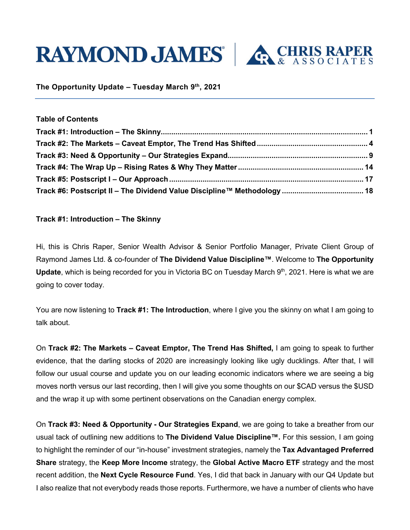



**The Opportunity Update – Tuesday March 9th, 2021**

| Table of Contents |  |
|-------------------|--|
|                   |  |
|                   |  |
|                   |  |
|                   |  |
|                   |  |
|                   |  |

## <span id="page-0-0"></span>**Track #1: Introduction – The Skinny**

**Table of Contents**

Hi, this is Chris Raper, Senior Wealth Advisor & Senior Portfolio Manager, Private Client Group of Raymond James Ltd. & co-founder of **The Dividend Value Discipline™**. Welcome to **The Opportunity Update**, which is being recorded for you in Victoria BC on Tuesday March 9<sup>th</sup>, 2021. Here is what we are going to cover today.

You are now listening to **Track #1: The Introduction**, where I give you the skinny on what I am going to talk about.

On **Track #2: The Markets – Caveat Emptor, The Trend Has Shifted,** I am going to speak to further evidence, that the darling stocks of 2020 are increasingly looking like ugly ducklings. After that, I will follow our usual course and update you on our leading economic indicators where we are seeing a big moves north versus our last recording, then I will give you some thoughts on our \$CAD versus the \$USD and the wrap it up with some pertinent observations on the Canadian energy complex.

On **Track #3: Need & Opportunity - Our Strategies Expand**, we are going to take a breather from our usual tack of outlining new additions to **The Dividend Value Discipline™.** For this session, I am going to highlight the reminder of our "in-house" investment strategies, namely the **Tax Advantaged Preferred Share** strategy, the **Keep More Income** strategy, the **Global Active Macro ETF** strategy and the most recent addition, the **Next Cycle Resource Fund**. Yes, I did that back in January with our Q4 Update but I also realize that not everybody reads those reports. Furthermore, we have a number of clients who have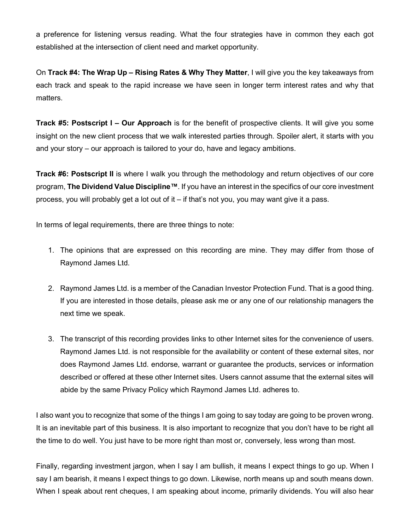a preference for listening versus reading. What the four strategies have in common they each got established at the intersection of client need and market opportunity.

On **Track #4: The Wrap Up – Rising Rates & Why They Matter**, I will give you the key takeaways from each track and speak to the rapid increase we have seen in longer term interest rates and why that matters.

**Track #5: Postscript I – Our Approach** is for the benefit of prospective clients. It will give you some insight on the new client process that we walk interested parties through. Spoiler alert, it starts with you and your story – our approach is tailored to your do, have and legacy ambitions.

**Track #6: Postscript II** is where I walk you through the methodology and return objectives of our core program, **The Dividend Value Discipline™**. If you have an interest in the specifics of our core investment process, you will probably get a lot out of it – if that's not you, you may want give it a pass.

In terms of legal requirements, there are three things to note:

- 1. The opinions that are expressed on this recording are mine. They may differ from those of Raymond James Ltd.
- 2. Raymond James Ltd. is a member of the Canadian Investor Protection Fund. That is a good thing. If you are interested in those details, please ask me or any one of our relationship managers the next time we speak.
- 3. The transcript of this recording provides links to other Internet sites for the convenience of users. Raymond James Ltd. is not responsible for the availability or content of these external sites, nor does Raymond James Ltd. endorse, warrant or guarantee the products, services or information described or offered at these other Internet sites. Users cannot assume that the external sites will abide by the same Privacy Policy which Raymond James Ltd. adheres to.

I also want you to recognize that some of the things I am going to say today are going to be proven wrong. It is an inevitable part of this business. It is also important to recognize that you don't have to be right all the time to do well. You just have to be more right than most or, conversely, less wrong than most.

Finally, regarding investment jargon, when I say I am bullish, it means I expect things to go up. When I say I am bearish, it means I expect things to go down. Likewise, north means up and south means down. When I speak about rent cheques, I am speaking about income, primarily dividends. You will also hear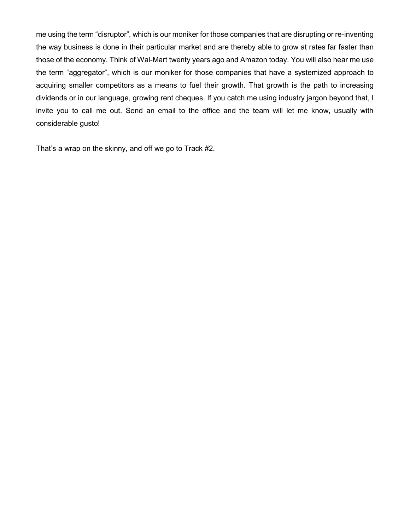me using the term "disruptor", which is our moniker for those companies that are disrupting or re-inventing the way business is done in their particular market and are thereby able to grow at rates far faster than those of the economy. Think of Wal-Mart twenty years ago and Amazon today. You will also hear me use the term "aggregator", which is our moniker for those companies that have a systemized approach to acquiring smaller competitors as a means to fuel their growth. That growth is the path to increasing dividends or in our language, growing rent cheques. If you catch me using industry jargon beyond that, I invite you to call me out. Send an email to the office and the team will let me know, usually with considerable gusto!

That's a wrap on the skinny, and off we go to Track #2.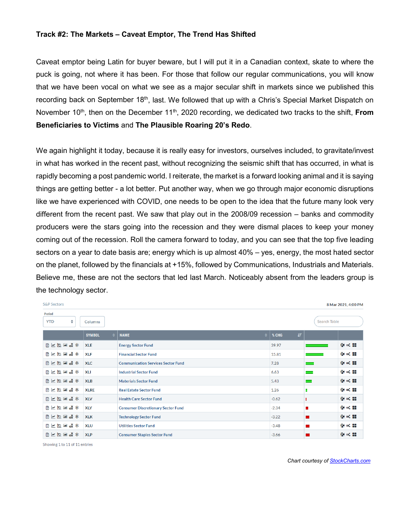#### <span id="page-3-0"></span>**Track #2: The Markets – Caveat Emptor, The Trend Has Shifted**

Caveat emptor being Latin for buyer beware, but I will put it in a Canadian context, skate to where the puck is going, not where it has been. For those that follow our regular communications, you will know that we have been vocal on what we see as a major secular shift in markets since we published this recording back on September 18<sup>th</sup>, last. We followed that up with a Chris's Special Market Dispatch on November 10<sup>th</sup>, then on the December 11<sup>th</sup>, 2020 recording, we dedicated two tracks to the shift, **From Beneficiaries to Victims** and **The Plausible Roaring 20's Redo**.

We again highlight it today, because it is really easy for investors, ourselves included, to gravitate/invest in what has worked in the recent past, without recognizing the seismic shift that has occurred, in what is rapidly becoming a post pandemic world. I reiterate, the market is a forward looking animal and it is saying things are getting better - a lot better. Put another way, when we go through major economic disruptions like we have experienced with COVID, one needs to be open to the idea that the future many look very different from the recent past. We saw that play out in the 2008/09 recession – banks and commodity producers were the stars going into the recession and they were dismal places to keep your money coming out of the recession. Roll the camera forward to today, and you can see that the top five leading sectors on a year to date basis are; energy which is up almost 40% – yes, energy, the most hated sector on the planet, followed by the financials at +15%, followed by Communications, Industrials and Materials. Believe me, these are not the sectors that led last March. Noticeably absent from the leaders group is the technology sector.

| <b>S&amp;P Sectors</b><br>8 Mar 2021, 4:00 PM                                     |                            |                                           |                     |  |                               |  |
|-----------------------------------------------------------------------------------|----------------------------|-------------------------------------------|---------------------|--|-------------------------------|--|
| <b>Period</b><br>$\hat{=}$<br><b>Search Table</b><br><b>YTD</b><br><b>Columns</b> |                            |                                           |                     |  |                               |  |
|                                                                                   | $\bullet$<br><b>SYMBOL</b> | <b>NAME</b>                               | 項<br>$\div$ \ % CHG |  |                               |  |
| 第五回的区                                                                             | <b>XLE</b>                 | <b>Energy Sector Fund</b>                 | 39.97               |  | $\omega \propto m$            |  |
| 第五回的工图                                                                            | <b>XLF</b>                 | <b>Financial Sector Fund</b>              | 15.81               |  | $\otimes \times \mathfrak{m}$ |  |
| 第五回过入图                                                                            | <b>XLC</b>                 | <b>Communication Services Sector Fund</b> | 7.28                |  | $9 \times 3$                  |  |
| ※次回の入間                                                                            | <b>XLI</b>                 | <b>Industrial Sector Fund</b>             | 6.63                |  | $\gamma \times n$             |  |
| 第次国过入国                                                                            | <b>XLB</b>                 | <b>Materials Sector Fund</b>              | 5.43                |  | $94 \times 12$                |  |
| 第五四回以来                                                                            | <b>XLRE</b>                | <b>Real Estate Sector Fund</b>            | 1.26                |  | $\omega \propto m$            |  |
| ※次回の入国                                                                            | <b>XLV</b>                 | <b>Health Care Sector Fund</b>            | $-0.62$             |  | $94 \times 12$                |  |
| 第五四回义率                                                                            | <b>XLY</b>                 | <b>Consumer Discretionary Sector Fund</b> | $-2.34$             |  | $9 \times 3$                  |  |
| 第五四回以率                                                                            | <b>XLK</b>                 | <b>Technology Sector Fund</b>             | $-3.22$             |  | $9 \times 3$                  |  |
| 第五回的工作                                                                            | <b>XLU</b>                 | <b>Utilities Sector Fund</b>              | $-3.48$             |  | $9 \times 32$                 |  |
| 第五回的区                                                                             | <b>XLP</b>                 | <b>Consumer Staples Sector Fund</b>       | $-3.66$             |  | $9 \times 3$                  |  |

Showing 1 to 11 of 11 entries

*Chart courtesy o[f StockCharts.com](https://stockcharts.com/)*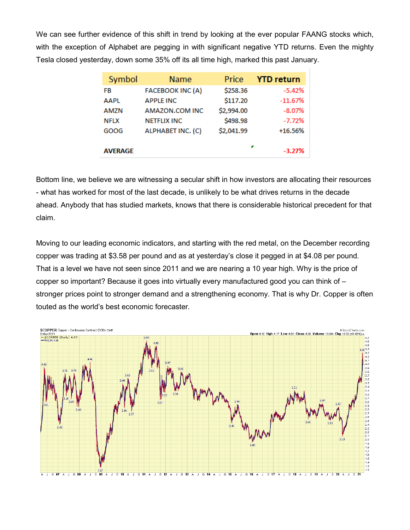We can see further evidence of this shift in trend by looking at the ever popular FAANG stocks which, with the exception of Alphabet are pegging in with significant negative YTD returns. Even the mighty Tesla closed yesterday, down some 35% off its all time high, marked this past January.

| Symbol         | <b>Name</b>              | Price      | <b>YTD return</b> |
|----------------|--------------------------|------------|-------------------|
| FB             | <b>FACEBOOK INC (A)</b>  | \$258.36   | $-5.42%$          |
| <b>AAPL</b>    | <b>APPLE INC</b>         | \$117.20   | $-11.67%$         |
| <b>AMZN</b>    | AMAZON.COM INC           | \$2,994.00 | $-8.07%$          |
| <b>NFLX</b>    | <b>NETFLIX INC</b>       | \$498.98   | $-7.72%$          |
| GOOG           | <b>ALPHABET INC. (C)</b> | \$2,041.99 | $+16.56%$         |
| <b>AVERAGE</b> |                          | ▼          | $-3.27%$          |

Bottom line, we believe we are witnessing a secular shift in how investors are allocating their resources - what has worked for most of the last decade, is unlikely to be what drives returns in the decade ahead. Anybody that has studied markets, knows that there is considerable historical precedent for that claim.

Moving to our leading economic indicators, and starting with the red metal, on the December recording copper was trading at \$3.58 per pound and as at yesterday's close it pegged in at \$4.08 per pound. That is a level we have not seen since 2011 and we are nearing a 10 year high. Why is the price of copper so important? Because it goes into virtually every manufactured good you can think of – stronger prices point to stronger demand and a strengthening economy. That is why Dr. Copper is often touted as the world's best economic forecaster*.* 

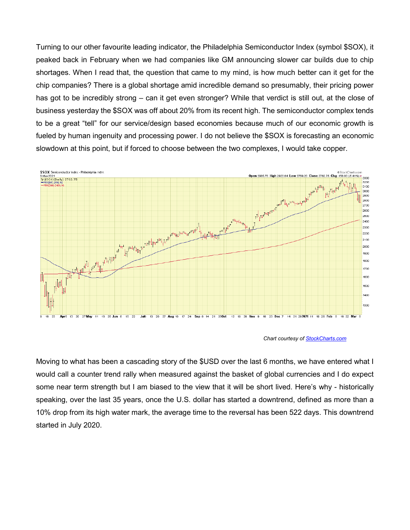Turning to our other favourite leading indicator, the Philadelphia Semiconductor Index (symbol \$SOX), it peaked back in February when we had companies like GM announcing slower car builds due to chip shortages. When I read that, the question that came to my mind, is how much better can it get for the chip companies? There is a global shortage amid incredible demand so presumably, their pricing power has got to be incredibly strong – can it get even stronger? While that verdict is still out, at the close of business yesterday the \$SOX was off about 20% from its recent high. The semiconductor complex tends to be a great "tell" for our service/design based economies because much of our economic growth is fueled by human ingenuity and processing power. I do not believe the \$SOX is forecasting an economic slowdown at this point, but if forced to choose between the two complexes, I would take copper.



 *Chart courtesy o[f StockCharts.com](https://stockcharts.com/)*

Moving to what has been a cascading story of the \$USD over the last 6 months, we have entered what I would call a counter trend rally when measured against the basket of global currencies and I do expect some near term strength but I am biased to the view that it will be short lived. Here's why - historically speaking, over the last 35 years, once the U.S. dollar has started a downtrend, defined as more than a 10% drop from its high water mark, the average time to the reversal has been 522 days. This downtrend started in July 2020.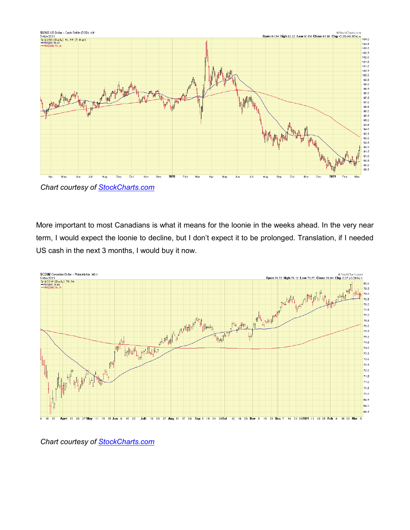

 *Chart courtesy of [StockCharts.com](https://stockcharts.com/)*

More important to most Canadians is what it means for the loonie in the weeks ahead. In the very near term, I would expect the loonie to decline, but I don't expect it to be prolonged. Translation, if I needed US cash in the next 3 months, I would buy it now.



 *Chart courtesy of [StockCharts.com](https://stockcharts.com/)*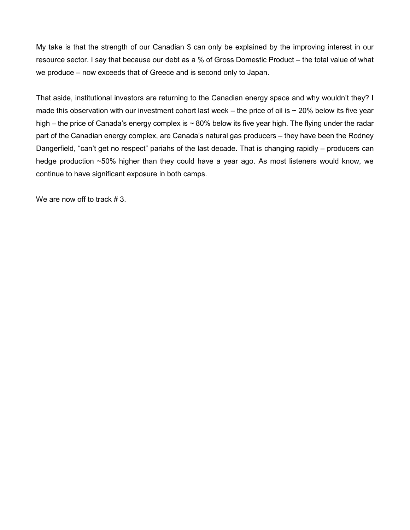My take is that the strength of our Canadian \$ can only be explained by the improving interest in our resource sector. I say that because our debt as a % of Gross Domestic Product – the total value of what we produce – now exceeds that of Greece and is second only to Japan.

That aside, institutional investors are returning to the Canadian energy space and why wouldn't they? I made this observation with our investment cohort last week – the price of oil is  $\sim$  20% below its five year high – the price of Canada's energy complex is  $\sim 80\%$  below its five year high. The flying under the radar part of the Canadian energy complex, are Canada's natural gas producers – they have been the Rodney Dangerfield, "can't get no respect" pariahs of the last decade. That is changing rapidly – producers can hedge production ~50% higher than they could have a year ago. As most listeners would know, we continue to have significant exposure in both camps.

We are now off to track #3.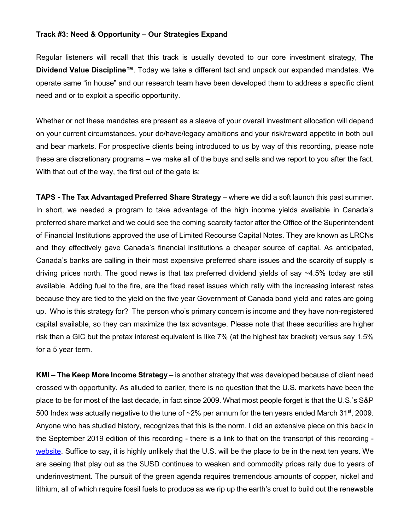#### <span id="page-8-0"></span>**Track #3: Need & Opportunity – Our Strategies Expand**

Regular listeners will recall that this track is usually devoted to our core investment strategy, **The Dividend Value Discipline™**. Today we take a different tact and unpack our expanded mandates. We operate same "in house" and our research team have been developed them to address a specific client need and or to exploit a specific opportunity.

Whether or not these mandates are present as a sleeve of your overall investment allocation will depend on your current circumstances, your do/have/legacy ambitions and your risk/reward appetite in both bull and bear markets. For prospective clients being introduced to us by way of this recording, please note these are discretionary programs – we make all of the buys and sells and we report to you after the fact. With that out of the way, the first out of the gate is:

**TAPS - The Tax Advantaged Preferred Share Strategy** – where we did a soft launch this past summer. In short, we needed a program to take advantage of the high income yields available in Canada's preferred share market and we could see the coming scarcity factor after the Office of the Superintendent of Financial Institutions approved the use of Limited Recourse Capital Notes. They are known as LRCNs and they effectively gave Canada's financial institutions a cheaper source of capital. As anticipated, Canada's banks are calling in their most expensive preferred share issues and the scarcity of supply is driving prices north. The good news is that tax preferred dividend yields of say ~4.5% today are still available. Adding fuel to the fire, are the fixed reset issues which rally with the increasing interest rates because they are tied to the yield on the five year Government of Canada bond yield and rates are going up. Who is this strategy for? The person who's primary concern is income and they have non-registered capital available, so they can maximize the tax advantage. Please note that these securities are higher risk than a GIC but the pretax interest equivalent is like 7% (at the highest tax bracket) versus say 1.5% for a 5 year term.

**KMI – The Keep More Income Strategy** – is another strategy that was developed because of client need crossed with opportunity. As alluded to earlier, there is no question that the U.S. markets have been the place to be for most of the last decade, in fact since 2009. What most people forget is that the U.S.'s S&P 500 Index was actually negative to the tune of  $\sim$ 2% per annum for the ten years ended March 31<sup>st</sup>, 2009. Anyone who has studied history, recognizes that this is the norm. I did an extensive piece on this back in the September 2019 edition of this recording - there is a link to that on the transcript of this recording [website.](http://chrisraper.com/pdfs/The-Opportunity-Update-September-4-2019.pdf) Suffice to say, it is highly unlikely that the U.S. will be the place to be in the next ten years. We are seeing that play out as the \$USD continues to weaken and commodity prices rally due to years of underinvestment. The pursuit of the green agenda requires tremendous amounts of copper, nickel and lithium, all of which require fossil fuels to produce as we rip up the earth's crust to build out the renewable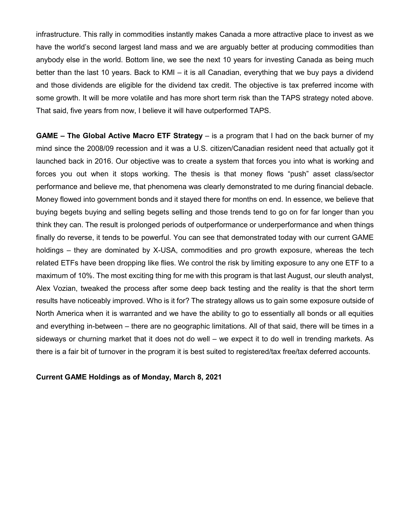infrastructure. This rally in commodities instantly makes Canada a more attractive place to invest as we have the world's second largest land mass and we are arguably better at producing commodities than anybody else in the world. Bottom line, we see the next 10 years for investing Canada as being much better than the last 10 years. Back to KMI – it is all Canadian, everything that we buy pays a dividend and those dividends are eligible for the dividend tax credit. The objective is tax preferred income with some growth. It will be more volatile and has more short term risk than the TAPS strategy noted above. That said, five years from now, I believe it will have outperformed TAPS.

**GAME – The Global Active Macro ETF Strategy – is a program that I had on the back burner of my** mind since the 2008/09 recession and it was a U.S. citizen/Canadian resident need that actually got it launched back in 2016. Our objective was to create a system that forces you into what is working and forces you out when it stops working. The thesis is that money flows "push" asset class/sector performance and believe me, that phenomena was clearly demonstrated to me during financial debacle. Money flowed into government bonds and it stayed there for months on end. In essence, we believe that buying begets buying and selling begets selling and those trends tend to go on for far longer than you think they can. The result is prolonged periods of outperformance or underperformance and when things finally do reverse, it tends to be powerful. You can see that demonstrated today with our current GAME holdings – they are dominated by X-USA, commodities and pro growth exposure, whereas the tech related ETFs have been dropping like flies. We control the risk by limiting exposure to any one ETF to a maximum of 10%. The most exciting thing for me with this program is that last August, our sleuth analyst, Alex Vozian, tweaked the process after some deep back testing and the reality is that the short term results have noticeably improved. Who is it for? The strategy allows us to gain some exposure outside of North America when it is warranted and we have the ability to go to essentially all bonds or all equities and everything in-between – there are no geographic limitations. All of that said, there will be times in a sideways or churning market that it does not do well – we expect it to do well in trending markets. As there is a fair bit of turnover in the program it is best suited to registered/tax free/tax deferred accounts.

**Current GAME Holdings as of Monday, March 8, 2021**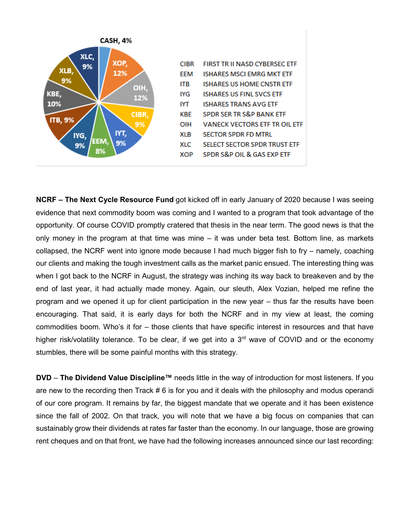

**NCRF – The Next Cycle Resource Fund** got kicked off in early January of 2020 because I was seeing evidence that next commodity boom was coming and I wanted to a program that took advantage of the opportunity. Of course COVID promptly cratered that thesis in the near term. The good news is that the only money in the program at that time was mine – it was under beta test. Bottom line, as markets collapsed, the NCRF went into ignore mode because I had much bigger fish to fry – namely, coaching our clients and making the tough investment calls as the market panic ensued. The interesting thing was when I got back to the NCRF in August, the strategy was inching its way back to breakeven and by the end of last year, it had actually made money. Again, our sleuth, Alex Vozian, helped me refine the program and we opened it up for client participation in the new year – thus far the results have been encouraging. That said, it is early days for both the NCRF and in my view at least, the coming commodities boom. Who's it for – those clients that have specific interest in resources and that have higher risk/volatility tolerance. To be clear, if we get into a 3<sup>rd</sup> wave of COVID and or the economy stumbles, there will be some painful months with this strategy.

**DVD** – **The Dividend Value Discipline™** needs little in the way of introduction for most listeners. If you are new to the recording then Track # 6 is for you and it deals with the philosophy and modus operandi of our core program. It remains by far, the biggest mandate that we operate and it has been existence since the fall of 2002. On that track, you will note that we have a big focus on companies that can sustainably grow their dividends at rates far faster than the economy. In our language, those are growing rent cheques and on that front, we have had the following increases announced since our last recording: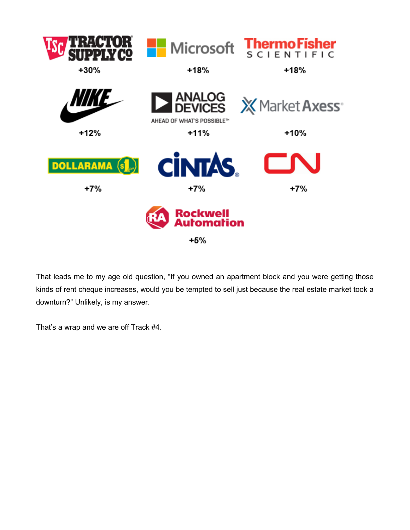

That leads me to my age old question, "If you owned an apartment block and you were getting those kinds of rent cheque increases, would you be tempted to sell just because the real estate market took a downturn?" Unlikely, is my answer.

That's a wrap and we are off Track #4.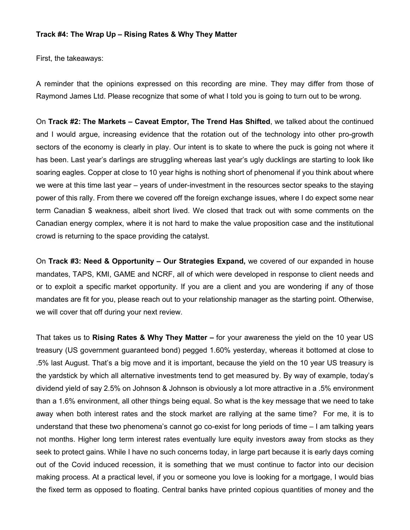#### <span id="page-13-0"></span>**Track #4: The Wrap Up – Rising Rates & Why They Matter**

First, the takeaways:

A reminder that the opinions expressed on this recording are mine. They may differ from those of Raymond James Ltd. Please recognize that some of what I told you is going to turn out to be wrong.

On **Track #2: The Markets – Caveat Emptor, The Trend Has Shifted**, we talked about the continued and I would argue, increasing evidence that the rotation out of the technology into other pro-growth sectors of the economy is clearly in play. Our intent is to skate to where the puck is going not where it has been. Last year's darlings are struggling whereas last year's ugly ducklings are starting to look like soaring eagles. Copper at close to 10 year highs is nothing short of phenomenal if you think about where we were at this time last year – years of under-investment in the resources sector speaks to the staying power of this rally. From there we covered off the foreign exchange issues, where I do expect some near term Canadian \$ weakness, albeit short lived. We closed that track out with some comments on the Canadian energy complex, where it is not hard to make the value proposition case and the institutional crowd is returning to the space providing the catalyst.

On **Track #3: Need & Opportunity – Our Strategies Expand,** we covered of our expanded in house mandates, TAPS, KMI, GAME and NCRF, all of which were developed in response to client needs and or to exploit a specific market opportunity. If you are a client and you are wondering if any of those mandates are fit for you, please reach out to your relationship manager as the starting point. Otherwise, we will cover that off during your next review.

That takes us to **Rising Rates & Why They Matter –** for your awareness the yield on the 10 year US treasury (US government guaranteed bond) pegged 1.60% yesterday, whereas it bottomed at close to .5% last August. That's a big move and it is important, because the yield on the 10 year US treasury is the yardstick by which all alternative investments tend to get measured by. By way of example, today's dividend yield of say 2.5% on Johnson & Johnson is obviously a lot more attractive in a .5% environment than a 1.6% environment, all other things being equal. So what is the key message that we need to take away when both interest rates and the stock market are rallying at the same time? For me, it is to understand that these two phenomena's cannot go co-exist for long periods of time – I am talking years not months. Higher long term interest rates eventually lure equity investors away from stocks as they seek to protect gains. While I have no such concerns today, in large part because it is early days coming out of the Covid induced recession, it is something that we must continue to factor into our decision making process. At a practical level, if you or someone you love is looking for a mortgage, I would bias the fixed term as opposed to floating. Central banks have printed copious quantities of money and the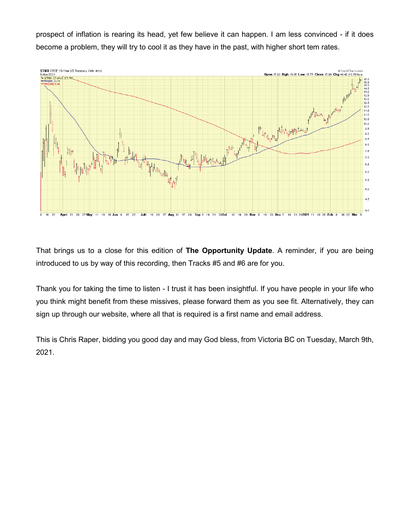prospect of inflation is rearing its head, yet few believe it can happen. I am less convinced - if it does become a problem, they will try to cool it as they have in the past, with higher short tem rates.



That brings us to a close for this edition of **The Opportunity Update**. A reminder, if you are being introduced to us by way of this recording, then Tracks #5 and #6 are for you.

Thank you for taking the time to listen - I trust it has been insightful. If you have people in your life who you think might benefit from these missives, please forward them as you see fit. Alternatively, they can sign up through our website, where all that is required is a first name and email address.

This is Chris Raper, bidding you good day and may God bless, from Victoria BC on Tuesday, March 9th, 2021.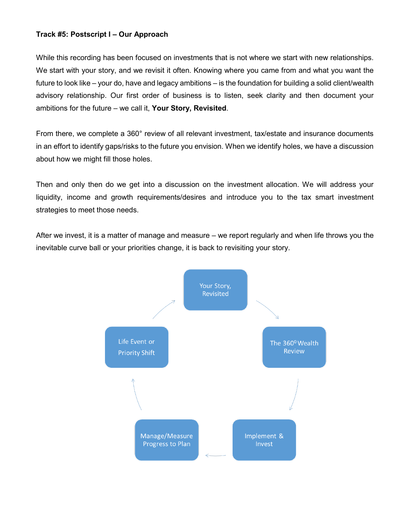## <span id="page-16-0"></span>**Track #5: Postscript I – Our Approach**

While this recording has been focused on investments that is not where we start with new relationships. We start with your story, and we revisit it often. Knowing where you came from and what you want the future to look like – your do, have and legacy ambitions – is the foundation for building a solid client/wealth advisory relationship. Our first order of business is to listen, seek clarity and then document your ambitions for the future – we call it, **Your Story, Revisited**.

From there, we complete a 360° review of all relevant investment, tax/estate and insurance documents in an effort to identify gaps/risks to the future you envision. When we identify holes, we have a discussion about how we might fill those holes.

Then and only then do we get into a discussion on the investment allocation. We will address your liquidity, income and growth requirements/desires and introduce you to the tax smart investment strategies to meet those needs.

After we invest, it is a matter of manage and measure – we report regularly and when life throws you the inevitable curve ball or your priorities change, it is back to revisiting your story.

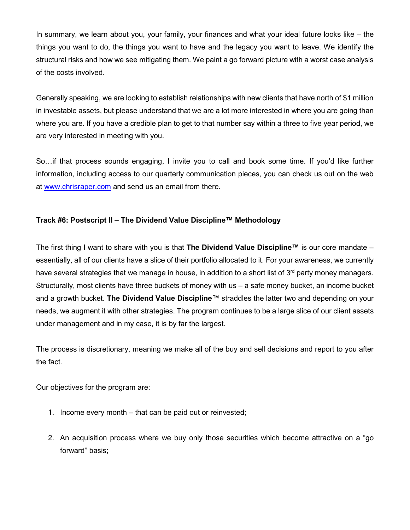In summary, we learn about you, your family, your finances and what your ideal future looks like – the things you want to do, the things you want to have and the legacy you want to leave. We identify the structural risks and how we see mitigating them. We paint a go forward picture with a worst case analysis of the costs involved.

Generally speaking, we are looking to establish relationships with new clients that have north of \$1 million in investable assets, but please understand that we are a lot more interested in where you are going than where you are. If you have a credible plan to get to that number say within a three to five year period, we are very interested in meeting with you.

So…if that process sounds engaging, I invite you to call and book some time. If you'd like further information, including access to our quarterly communication pieces, you can check us out on the web at [www.chrisraper.com](http://www.chrisraper.com/) and send us an email from there.

# <span id="page-17-0"></span>**Track #6: Postscript II – The Dividend Value Discipline™ Methodology**

The first thing I want to share with you is that **The Dividend Value Discipline™** is our core mandate – essentially, all of our clients have a slice of their portfolio allocated to it. For your awareness, we currently have several strategies that we manage in house, in addition to a short list of 3<sup>rd</sup> party money managers. Structurally, most clients have three buckets of money with us – a safe money bucket, an income bucket and a growth bucket. **The Dividend Value Discipline**™ straddles the latter two and depending on your needs, we augment it with other strategies. The program continues to be a large slice of our client assets under management and in my case, it is by far the largest.

The process is discretionary, meaning we make all of the buy and sell decisions and report to you after the fact.

Our objectives for the program are:

- 1. Income every month that can be paid out or reinvested;
- 2. An acquisition process where we buy only those securities which become attractive on a "go forward" basis;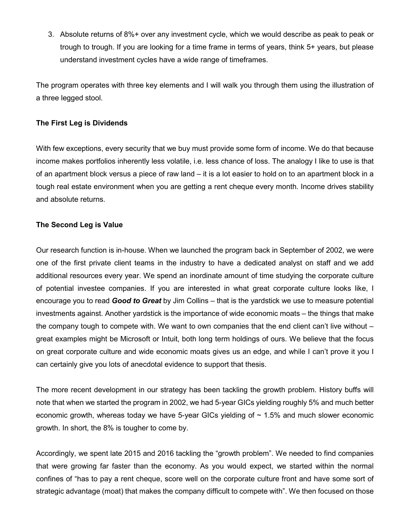3. Absolute returns of 8%+ over any investment cycle, which we would describe as peak to peak or trough to trough. If you are looking for a time frame in terms of years, think 5+ years, but please understand investment cycles have a wide range of timeframes.

The program operates with three key elements and I will walk you through them using the illustration of a three legged stool.

# **The First Leg is Dividends**

With few exceptions, every security that we buy must provide some form of income. We do that because income makes portfolios inherently less volatile, i.e. less chance of loss. The analogy I like to use is that of an apartment block versus a piece of raw land – it is a lot easier to hold on to an apartment block in a tough real estate environment when you are getting a rent cheque every month. Income drives stability and absolute returns.

## **The Second Leg is Value**

Our research function is in-house. When we launched the program back in September of 2002, we were one of the first private client teams in the industry to have a dedicated analyst on staff and we add additional resources every year. We spend an inordinate amount of time studying the corporate culture of potential investee companies. If you are interested in what great corporate culture looks like, I encourage you to read *Good to Great* by Jim Collins – that is the yardstick we use to measure potential investments against. Another yardstick is the importance of wide economic moats – the things that make the company tough to compete with. We want to own companies that the end client can't live without – great examples might be Microsoft or Intuit, both long term holdings of ours. We believe that the focus on great corporate culture and wide economic moats gives us an edge, and while I can't prove it you I can certainly give you lots of anecdotal evidence to support that thesis.

The more recent development in our strategy has been tackling the growth problem. History buffs will note that when we started the program in 2002, we had 5-year GICs yielding roughly 5% and much better economic growth, whereas today we have 5-year GICs yielding of  $\sim 1.5\%$  and much slower economic growth. In short, the 8% is tougher to come by.

Accordingly, we spent late 2015 and 2016 tackling the "growth problem". We needed to find companies that were growing far faster than the economy. As you would expect, we started within the normal confines of "has to pay a rent cheque, score well on the corporate culture front and have some sort of strategic advantage (moat) that makes the company difficult to compete with". We then focused on those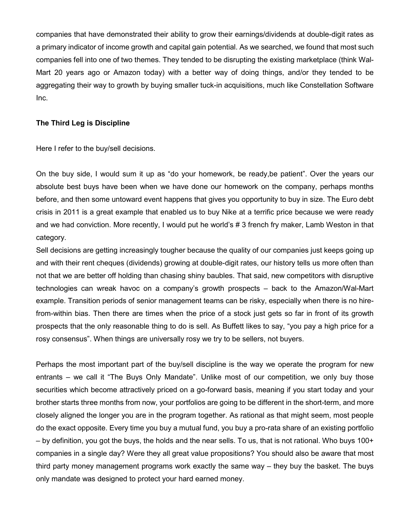companies that have demonstrated their ability to grow their earnings/dividends at double-digit rates as a primary indicator of income growth and capital gain potential. As we searched, we found that most such companies fell into one of two themes. They tended to be disrupting the existing marketplace (think Wal-Mart 20 years ago or Amazon today) with a better way of doing things, and/or they tended to be aggregating their way to growth by buying smaller tuck-in acquisitions, much like Constellation Software Inc.

### **The Third Leg is Discipline**

Here I refer to the buy/sell decisions.

On the buy side, I would sum it up as "do your homework, be ready,be patient". Over the years our absolute best buys have been when we have done our homework on the company, perhaps months before, and then some untoward event happens that gives you opportunity to buy in size. The Euro debt crisis in 2011 is a great example that enabled us to buy Nike at a terrific price because we were ready and we had conviction. More recently, I would put he world's # 3 french fry maker, Lamb Weston in that category.

Sell decisions are getting increasingly tougher because the quality of our companies just keeps going up and with their rent cheques (dividends) growing at double-digit rates, our history tells us more often than not that we are better off holding than chasing shiny baubles. That said, new competitors with disruptive technologies can wreak havoc on a company's growth prospects – back to the Amazon/Wal-Mart example. Transition periods of senior management teams can be risky, especially when there is no hirefrom-within bias. Then there are times when the price of a stock just gets so far in front of its growth prospects that the only reasonable thing to do is sell. As Buffett likes to say, "you pay a high price for a rosy consensus". When things are universally rosy we try to be sellers, not buyers.

Perhaps the most important part of the buy/sell discipline is the way we operate the program for new entrants – we call it "The Buys Only Mandate". Unlike most of our competition, we only buy those securities which become attractively priced on a go-forward basis, meaning if you start today and your brother starts three months from now, your portfolios are going to be different in the short-term, and more closely aligned the longer you are in the program together. As rational as that might seem, most people do the exact opposite. Every time you buy a mutual fund, you buy a pro-rata share of an existing portfolio – by definition, you got the buys, the holds and the near sells. To us, that is not rational. Who buys 100+ companies in a single day? Were they all great value propositions? You should also be aware that most third party money management programs work exactly the same way – they buy the basket. The buys only mandate was designed to protect your hard earned money.